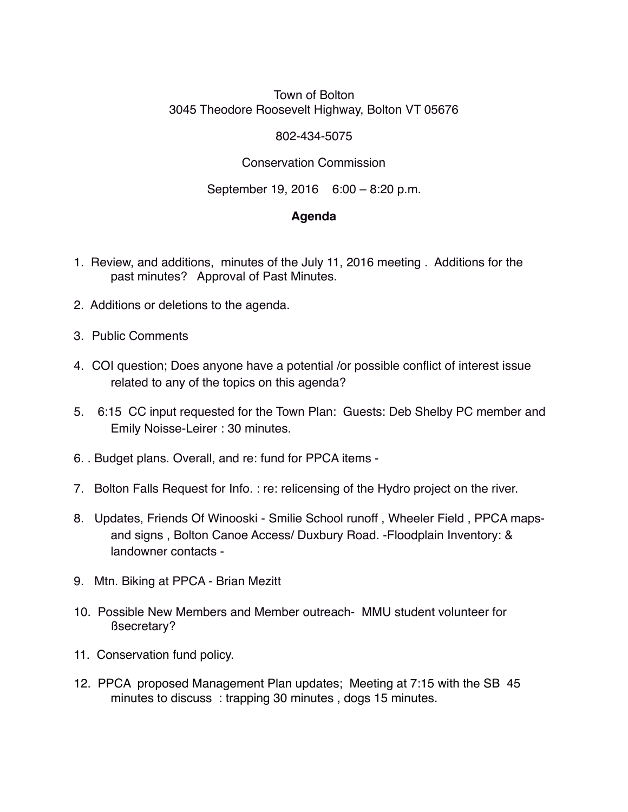## Town of Bolton 3045 Theodore Roosevelt Highway, Bolton VT 05676

## 802-434-5075

## Conservation Commission

September 19, 2016 6:00 – 8:20 p.m.

## **Agenda**

- 1. Review, and additions, minutes of the July 11, 2016 meeting . Additions for the past minutes? Approval of Past Minutes.
- 2. Additions or deletions to the agenda.
- 3. Public Comments
- 4. COI question; Does anyone have a potential /or possible conflict of interest issue related to any of the topics on this agenda?
- 5. 6:15 CC input requested for the Town Plan: Guests: Deb Shelby PC member and Emily Noisse-Leirer : 30 minutes.
- 6. . Budget plans. Overall, and re: fund for PPCA items -
- 7. Bolton Falls Request for Info. : re: relicensing of the Hydro project on the river.
- 8. Updates, Friends Of Winooski Smilie School runoff , Wheeler Field , PPCA mapsand signs , Bolton Canoe Access/ Duxbury Road. -Floodplain Inventory: & landowner contacts -
- 9. Mtn. Biking at PPCA Brian Mezitt
- 10. Possible New Members and Member outreach- MMU student volunteer for ßsecretary?
- 11. Conservation fund policy.
- 12. PPCA proposed Management Plan updates; Meeting at 7:15 with the SB 45 minutes to discuss : trapping 30 minutes , dogs 15 minutes.